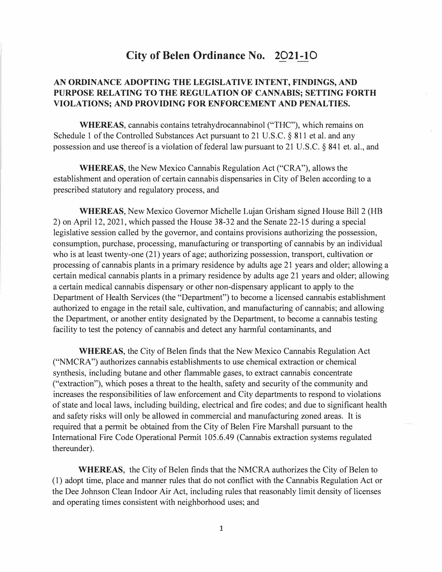# **City of Belen Ordinance No. 2021-10**

# **AN ORDINANCE ADOPTING THE LEGISLATIVE INTENT, FINDINGS, AND PURPOSE RELATING TO THE REGULATION OF CANNABIS; SETTING FORTH VIOLATIONS; AND PROVIDING FOR ENFORCEMENT AND PENALTIES.**

**WHEREAS,** cannabis contains tetrahydrocannabinol ("THC"), which remains on Schedule 1 of the Controlled Substances Act pursuant to 21 U.S.C. § 811 et al. and any possession and use thereof is a violation of federal law pursuant to 21 U.S.C. § 841 et. al., and

**WHEREAS,** the New Mexico Cannabis Regulation Act ("CRA"), allows the establishment and operation of certain cannabis dispensaries in City of Belen according to a prescribed statutory and regulatory process, and

**WHEREAS,** New Mexico Governor Michelle Lujan Grisham signed House Bill 2 (HB 2) on April 12, 2021, which passed the House 38-32 and the Senate 22-15 during a special legislative session called by the governor, and contains provisions authorizing the possession, consumption, purchase, processing, manufacturing or transporting of cannabis by an individual who is at least twenty-one (21) years of age; authorizing possession, transport, cultivation or processing of cannabis plants in a primary residence by adults age 21 years and older; allowing a certain medical cannabis plants in a primary residence by adults age 21 years and older; allowing a certain medical cannabis dispensary or other non-dispensary applicant to apply to the Department of Health Services (the "Department") to become a licensed cannabis establishment authorized to engage in the retail sale, cultivation, and manufacturing of cannabis; and allowing the Department, or another entity designated by the Department, to become a cannabis testing facility to test the potency of cannabis and detect any harmful contaminants, and

**WHEREAS,** the City of Belen finds that the New Mexico Cannabis Regulation Act ("NMCRA") authorizes cannabis establishments to use chemical extraction or chemical synthesis, including butane and other flammable gases, to extract cannabis concentrate ("extraction"), which poses a threat to the health, safety and security of the community and increases the responsibilities of law enforcement and City departments to respond to violations of state and local laws, including building, electrical and fire codes; and due to significant health and safety risks will only be allowed in commercial and manufacturing zoned areas. It is required that a permit be obtained from the City of Belen Fire Marshall pursuant to the International Fire Code Operational Permit 105.6.49 (Cannabis extraction systems regulated thereunder).

**WHEREAS,** the City of Belen finds that the NMCRA authorizes the City of Belen to (1) adopt time, place and manner rules that do not conflict with the Cannabis Regulation Act or the Dee Johnson Clean Indoor Air Act, including rules that reasonably limit density of licenses and operating times consistent with neighborhood uses; and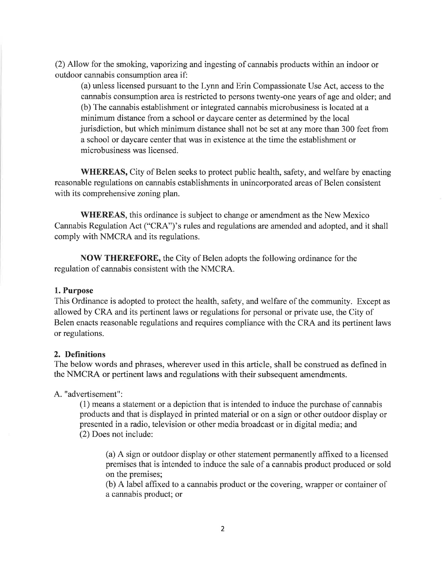(2) Allow for the smoking, vaporizing and ingesting of cannabis products within an indoor or outdoor cannabis consumption area if:

(a) unless licensed pursuant to the Lynn and Erin Compassionate Use Act, access to the cannabis consumption area is restricted to persons twenty-one years of age and older; and (b) The cannabis establishment or integrated cannabis microbusiness is located at a minimum distance from a school or daycare center as determined by the local jurisdiction, but which minimum distance shall not be set at any more than 300 feet from a school or daycare center that was in existence at the time the establishment or microbusiness was licensed.

WHEREAS, City of Belen seeks to protect public health, safety, and welfare by enacting reasonable regulations on cannabis establishments in unincorporated areas of Belen consistent with its comprehensive zoning plan.

**WHEREAS**, this ordinance is subject to change or amendment as the New Mexico Cannabis Regulation Act ("CRA")'s rules and regulations are amended and adopted, and it shall comply with NMCRA and its regulations.

NOW THEREFORE, the City of Belen adopts the following ordinance for the regulation of cannabis consistent with the NMCRA.

#### 1. Purpose

This Ordinance is adopted to protect the health, safety, and welfare of the community. Except as allowed by CRA and its pertinent laws or regulations for personal or private use, the City of Belen enacts reasonable regulations and requires compliance with the CRA and its pertinent laws or regulations.

#### 2. Definitions

The below words and phrases, wherever used in this article, shall be construed as defined in the NMCRA or pertinent laws and regulations with their subsequent amendments.

A. "advertisement":

(1) means a statement or a depiction that is intended to induce the purchase of cannabis products and that is displayed in printed material or on a sign or other outdoor display or presented in a radio, television or other media broadcast or in digital media; and (2) Does not include:

(a) A sign or outdoor display or other statement permanently affixed to a licensed premises that is intended to induce the sale of a cannabis product produced or sold on the premises;

(b) A label affixed to a cannabis product or the covering, wrapper or container of a cannabis product; or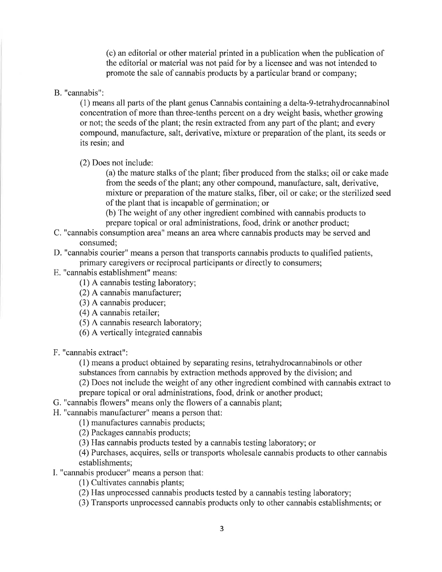(c) an editorial or other material printed in a publication when the publication of the editorial or material was not paid for by a licensee and was not intended to promote the sale of cannabis products by a particular brand or company;

B. "cannabis":

(1) means all parts of the plant genus Cannabis containing a delta-9-tetrahydrocannabinol concentration of more than three-tenths percent on a dry weight basis, whether growing or not; the seeds of the plant; the resin extracted from any part of the plant; and every compound, manufacture, salt, derivative, mixture or preparation of the plant, its seeds or its resin; and

(2) Does not include:

(a) the mature stalks of the plant; fiber produced from the stalks; oil or cake made from the seeds of the plant; any other compound, manufacture, salt, derivative, mixture or preparation of the mature stalks, fiber, oil or cake; or the sterilized seed of the plant that is incapable of germination; or

(b) The weight of any other ingredient combined with cannabis products to prepare topical or oral administrations, food, drink or another product;

- C. "cannabis consumption area" means an area where cannabis products may be served and consumed:
- D. "cannabis courier" means a person that transports cannabis products to qualified patients, primary caregivers or reciprocal participants or directly to consumers;
- E. "cannabis establishment" means:
	- (1) A cannabis testing laboratory;
	- (2) A cannabis manufacturer;
	- (3) A cannabis producer;
	- (4) A cannabis retailer;
	- (5) A cannabis research laboratory;
	- (6) A vertically integrated cannabis

F. "cannabis extract":

(1) means a product obtained by separating resins, tetrahydrocannabinols or other substances from cannabis by extraction methods approved by the division; and (2) Does not include the weight of any other ingredient combined with cannabis extract to

prepare topical or oral administrations, food, drink or another product;

- G. "cannabis flowers" means only the flowers of a cannabis plant;
- H. "cannabis manufacturer" means a person that:

(1) manufactures cannabis products;

(2) Packages cannabis products;

(3) Has cannabis products tested by a cannabis testing laboratory; or

(4) Purchases, acquires, sells or transports wholesale cannabis products to other cannabis establishments;

- I. "cannabis producer" means a person that:
	- (1) Cultivates cannabis plants;

(2) Has unprocessed cannabis products tested by a cannabis testing laboratory;

(3) Transports unprocessed cannabis products only to other cannabis establishments; or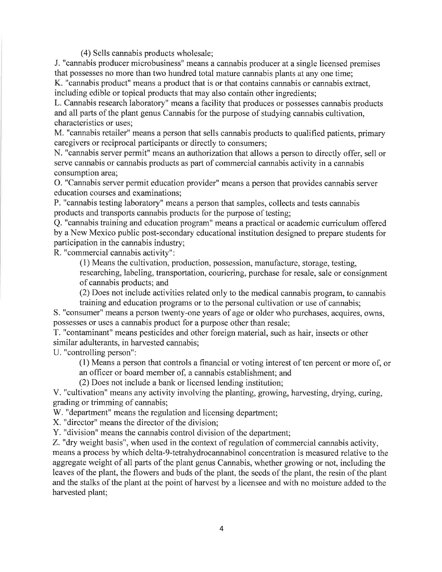(4) Sells cannabis products wholesale:

J. "cannabis producer microbusiness" means a cannabis producer at a single licensed premises that possesses no more than two hundred total mature cannabis plants at any one time:

K. "cannabis product" means a product that is or that contains cannabis or cannabis extract, including edible or topical products that may also contain other ingredients;

L. Cannabis research laboratory" means a facility that produces or possesses cannabis products and all parts of the plant genus Cannabis for the purpose of studying cannabis cultivation. characteristics or uses;

M. "cannabis retailer" means a person that sells cannabis products to qualified patients, primary caregivers or reciprocal participants or directly to consumers:

N. "cannabis server permit" means an authorization that allows a person to directly offer, sell or serve cannabis or cannabis products as part of commercial cannabis activity in a cannabis consumption area;

O. "Cannabis server permit education provider" means a person that provides cannabis server education courses and examinations;

P. "cannabis testing laboratory" means a person that samples, collects and tests cannabis products and transports cannabis products for the purpose of testing;

O. "cannabis training and education program" means a practical or academic curriculum offered by a New Mexico public post-secondary educational institution designed to prepare students for participation in the cannabis industry;

R. "commercial cannabis activity":

(1) Means the cultivation, production, possession, manufacture, storage, testing,

researching, labeling, transportation, couriering, purchase for resale, sale or consignment of cannabis products; and

(2) Does not include activities related only to the medical cannabis program, to cannabis training and education programs or to the personal cultivation or use of cannabis:

S. "consumer" means a person twenty-one years of age or older who purchases, acquires, owns, possesses or uses a cannabis product for a purpose other than resale:

T. "contaminant" means pesticides and other foreign material, such as hair, insects or other similar adulterants, in harvested cannabis;

U. "controlling person":

(1) Means a person that controls a financial or voting interest of ten percent or more of, or

an officer or board member of, a cannabis establishment; and

(2) Does not include a bank or licensed lending institution;

V. "cultivation" means any activity involving the planting, growing, harvesting, drying, curing, grading or trimming of cannabis:

W. "department" means the regulation and licensing department;

X. "director" means the director of the division:

Y. "division" means the cannabis control division of the department;

Z. "dry weight basis", when used in the context of regulation of commercial cannabis activity, means a process by which delta-9-tetrahydrocannabinol concentration is measured relative to the aggregate weight of all parts of the plant genus Cannabis, whether growing or not, including the leaves of the plant, the flowers and buds of the plant, the seeds of the plant, the resin of the plant and the stalks of the plant at the point of harvest by a licensee and with no moisture added to the harvested plant;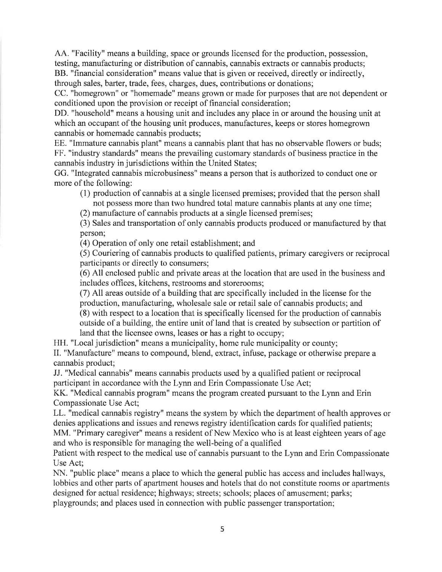AA. "Facility" means a building, space or grounds licensed for the production, possession, testing, manufacturing or distribution of cannabis, cannabis extracts or cannabis products; BB. "financial consideration" means value that is given or received, directly or indirectly, through sales, barter, trade, fees, charges, dues, contributions or donations;

CC. "homegrown" or "homemade" means grown or made for purposes that are not dependent or conditioned upon the provision or receipt of financial consideration;

DD. "household" means a housing unit and includes any place in or around the housing unit at which an occupant of the housing unit produces, manufactures, keeps or stores homegrown cannabis or homemade cannabis products;

EE. "Immature cannabis plant" means a cannabis plant that has no observable flowers or buds; FF. "industry standards" means the prevailing customary standards of business practice in the cannabis industry in jurisdictions within the United States;

GG. "Integrated cannabis microbusiness" means a person that is authorized to conduct one or more of the following:

(1) production of cannabis at a single licensed premises; provided that the person shall not possess more than two hundred total mature cannabis plants at any one time;

(2) manufacture of cannabis products at a single licensed premises;

(3) Sales and transportation of only cannabis products produced or manufactured by that person;

(4) Operation of only one retail establishment; and

(5) Couriering of cannabis products to qualified patients, primary caregivers or reciprocal participants or directly to consumers:

(6) All enclosed public and private areas at the location that are used in the business and includes offices, kitchens, restrooms and storerooms;

(7) All areas outside of a building that are specifically included in the license for the production, manufacturing, wholesale sale or retail sale of cannabis products; and (8) with respect to a location that is specifically licensed for the production of cannabis outside of a building, the entire unit of land that is created by subsection or partition of land that the licensee owns, leases or has a right to occupy;

HH. "Local jurisdiction" means a municipality, home rule municipality or county;

II. "Manufacture" means to compound, blend, extract, infuse, package or otherwise prepare a cannabis product:

JJ. "Medical cannabis" means cannabis products used by a qualified patient or reciprocal participant in accordance with the Lynn and Erin Compassionate Use Act;

KK. "Medical cannabis program" means the program created pursuant to the Lynn and Erin Compassionate Use Act:

LL. "medical cannabis registry" means the system by which the department of health approves or denies applications and issues and renews registry identification cards for qualified patients;

MM. "Primary caregiver" means a resident of New Mexico who is at least eighteen years of age and who is responsible for managing the well-being of a qualified

Patient with respect to the medical use of cannabis pursuant to the Lynn and Erin Compassionate Use Act:

NN. "public place" means a place to which the general public has access and includes hallways, lobbies and other parts of apartment houses and hotels that do not constitute rooms or apartments designed for actual residence; highways; streets; schools; places of amusement; parks; playgrounds; and places used in connection with public passenger transportation;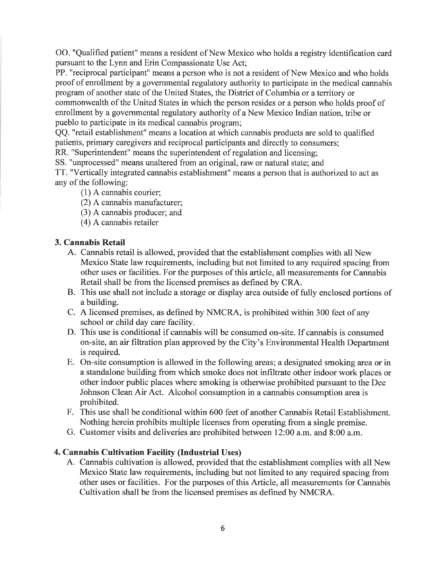OO. "Qualified patient" means a resident of New Mexico who holds a registry identification card pursuant to the Lynn and Erin Compassionate Use Act:

PP. "reciprocal participant" means a person who is not a resident of New Mexico and who holds proof of enrollment by a governmental regulatory authority to participate in the medical cannabis program of another state of the United States, the District of Columbia or a territory or commonwealth of the United States in which the person resides or a person who holds proof of enrollment by a governmental regulatory authority of a New Mexico Indian nation, tribe or pueblo to participate in its medical cannabis program;

QQ. "retail establishment" means a location at which cannabis products are sold to qualified patients, primary caregivers and reciprocal participants and directly to consumers; RR. "Superintendent" means the superintendent of regulation and licensing:

SS. "unprocessed" means unaltered from an original, raw or natural state; and

TT. "Vertically integrated cannabis establishment" means a person that is authorized to act as any of the following:

- $(1)$  A cannabis courier:
- (2) A cannabis manufacturer;
- (3) A cannabis producer; and
- $(4)$  A cannabis retailer

#### 3. Cannabis Retail

- A. Cannabis retail is allowed, provided that the establishment complies with all New Mexico State law requirements, including but not limited to any required spacing from other uses or facilities. For the purposes of this article, all measurements for Cannabis Retail shall be from the licensed premises as defined by CRA.
- B. This use shall not include a storage or display area outside of fully enclosed portions of a building.
- C. A licensed premises, as defined by NMCRA, is prohibited within 300 feet of any school or child day care facility.
- D. This use is conditional if cannabis will be consumed on-site. If cannabis is consumed on-site, an air filtration plan approved by the City's Environmental Health Department is required.
- E. On-site consumption is allowed in the following areas; a designated smoking area or in a standalone building from which smoke does not infiltrate other indoor work places or other indoor public places where smoking is otherwise prohibited pursuant to the Dee Johnson Clean Air Act. Alcohol consumption in a cannabis consumption area is prohibited.
- F. This use shall be conditional within 600 feet of another Cannabis Retail Establishment. Nothing herein prohibits multiple licenses from operating from a single premise.
- G. Customer visits and deliveries are prohibited between 12:00 a.m. and 8:00 a.m.

#### 4. Cannabis Cultivation Facility (Industrial Uses)

A. Cannabis cultivation is allowed, provided that the establishment complies with all New Mexico State law requirements, including but not limited to any required spacing from other uses or facilities. For the purposes of this Article, all measurements for Cannabis Cultivation shall be from the licensed premises as defined by NMCRA.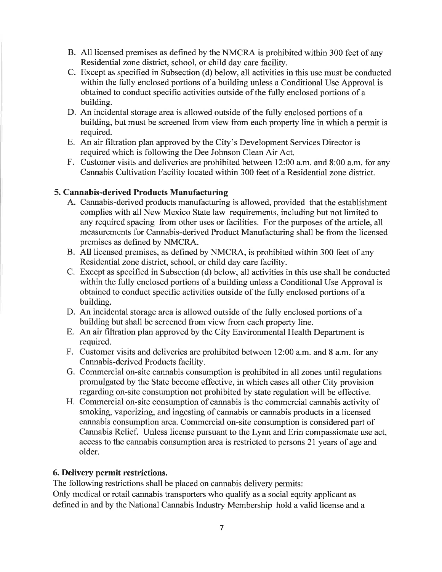- B. All licensed premises as defined by the NMCRA is prohibited within 300 feet of any Residential zone district, school, or child day care facility.
- C. Except as specified in Subsection (d) below, all activities in this use must be conducted within the fully enclosed portions of a building unless a Conditional Use Approval is obtained to conduct specific activities outside of the fully enclosed portions of a building.
- D. An incidental storage area is allowed outside of the fully enclosed portions of a building, but must be screened from view from each property line in which a permit is required.
- E. An air filtration plan approved by the City's Development Services Director is required which is following the Dee Johnson Clean Air Act.
- F. Customer visits and deliveries are prohibited between 12:00 a.m. and 8:00 a.m. for any Cannabis Cultivation Facility located within 300 feet of a Residential zone district.

# 5. Cannabis-derived Products Manufacturing

- A. Cannabis-derived products manufacturing is allowed, provided that the establishment complies with all New Mexico State law requirements, including but not limited to any required spacing from other uses or facilities. For the purposes of the article, all measurements for Cannabis-derived Product Manufacturing shall be from the licensed premises as defined by NMCRA.
- B. All licensed premises, as defined by NMCRA, is prohibited within 300 feet of any Residential zone district, school, or child day care facility.
- C. Except as specified in Subsection (d) below, all activities in this use shall be conducted within the fully enclosed portions of a building unless a Conditional Use Approval is obtained to conduct specific activities outside of the fully enclosed portions of a building.
- D. An incidental storage area is allowed outside of the fully enclosed portions of a building but shall be screened from view from each property line.
- E. An air filtration plan approved by the City Environmental Health Department is required.
- F. Customer visits and deliveries are prohibited between 12:00 a.m. and 8 a.m. for any Cannabis-derived Products facility.
- G. Commercial on-site cannabis consumption is prohibited in all zones until regulations promulgated by the State become effective, in which cases all other City provision regarding on-site consumption not prohibited by state regulation will be effective.
- H. Commercial on-site consumption of cannabis is the commercial cannabis activity of smoking, vaporizing, and ingesting of cannabis or cannabis products in a licensed cannabis consumption area. Commercial on-site consumption is considered part of Cannabis Relief. Unless license pursuant to the Lynn and Erin compassionate use act, access to the cannabis consumption area is restricted to persons 21 years of age and older.

# 6. Delivery permit restrictions.

The following restrictions shall be placed on cannabis delivery permits:

Only medical or retail cannabis transporters who qualify as a social equity applicant as defined in and by the National Cannabis Industry Membership hold a valid license and a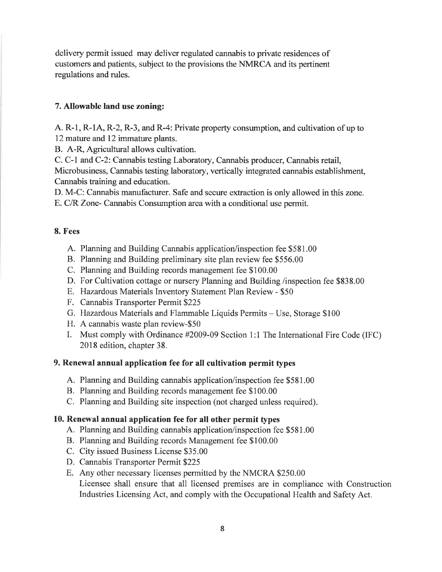delivery permit issued may deliver regulated cannabis to private residences of customers and patients, subject to the provisions the NMRCA and its pertinent regulations and rules.

#### 7. Allowable land use zoning:

A. R-1, R-1A, R-2, R-3, and R-4: Private property consumption, and cultivation of up to 12 mature and 12 immature plants.

B. A-R, Agricultural allows cultivation.

C. C-1 and C-2: Cannabis testing Laboratory, Cannabis producer, Cannabis retail, Microbusiness, Cannabis testing laboratory, vertically integrated cannabis establishment, Cannabis training and education.

D. M-C: Cannabis manufacturer. Safe and secure extraction is only allowed in this zone.

E. C/R Zone- Cannabis Consumption area with a conditional use permit.

#### 8. Fees

- A. Planning and Building Cannabis application/inspection fee \$581.00
- B. Planning and Building preliminary site plan review fee \$556.00
- C. Planning and Building records management fee \$100.00
- D. For Cultivation cottage or nursery Planning and Building /inspection fee \$838.00
- E. Hazardous Materials Inventory Statement Plan Review \$50
- F. Cannabis Transporter Permit \$225
- G. Hazardous Materials and Flammable Liquids Permits Use, Storage \$100
- H. A cannabis waste plan review-\$50
- I. Must comply with Ordinance #2009-09 Section 1:1 The International Fire Code (IFC) 2018 edition, chapter 38.

# 9. Renewal annual application fee for all cultivation permit types

- A. Planning and Building cannabis application/inspection fee \$581.00
- B. Planning and Building records management fee \$100.00
- C. Planning and Building site inspection (not charged unless required).

# 10. Renewal annual application fee for all other permit types

- A. Planning and Building cannabis application/inspection fee \$581.00
- B. Planning and Building records Management fee \$100.00
- C. City issued Business License \$35.00
- D. Cannabis Transporter Permit \$225
- E. Any other necessary licenses permitted by the NMCRA \$250.00 Licensee shall ensure that all licensed premises are in compliance with Construction Industries Licensing Act, and comply with the Occupational Health and Safety Act.